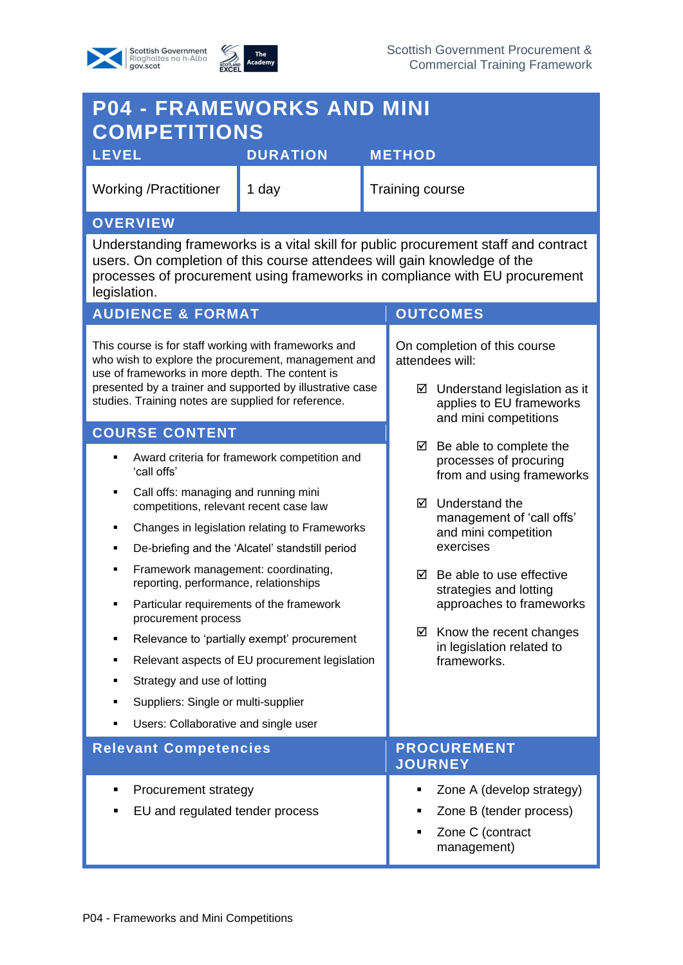



| <b>P04 - FRAMEWORKS AND MINI</b><br><b>COMPETITIONS</b>                                                                                                                                                                                                                            |                 |                                                                                               |                                                                                     |  |  |
|------------------------------------------------------------------------------------------------------------------------------------------------------------------------------------------------------------------------------------------------------------------------------------|-----------------|-----------------------------------------------------------------------------------------------|-------------------------------------------------------------------------------------|--|--|
| <b>LEVEL</b>                                                                                                                                                                                                                                                                       | <b>DURATION</b> |                                                                                               | <b>METHOD</b>                                                                       |  |  |
| <b>Working /Practitioner</b><br>1 day                                                                                                                                                                                                                                              |                 |                                                                                               | <b>Training course</b>                                                              |  |  |
| <b>OVERVIEW</b>                                                                                                                                                                                                                                                                    |                 |                                                                                               |                                                                                     |  |  |
| Understanding frameworks is a vital skill for public procurement staff and contract<br>users. On completion of this course attendees will gain knowledge of the<br>processes of procurement using frameworks in compliance with EU procurement<br>legislation.                     |                 |                                                                                               |                                                                                     |  |  |
| <b>AUDIENCE &amp; FORMAT</b>                                                                                                                                                                                                                                                       |                 |                                                                                               | <b>OUTCOMES</b>                                                                     |  |  |
| This course is for staff working with frameworks and<br>who wish to explore the procurement, management and<br>use of frameworks in more depth. The content is<br>presented by a trainer and supported by illustrative case<br>studies. Training notes are supplied for reference. |                 | On completion of this course<br>attendees will:                                               |                                                                                     |  |  |
|                                                                                                                                                                                                                                                                                    |                 | $\boxtimes$ Understand legislation as it<br>applies to EU frameworks<br>and mini competitions |                                                                                     |  |  |
| <b>COURSE CONTENT</b>                                                                                                                                                                                                                                                              |                 |                                                                                               |                                                                                     |  |  |
| Award criteria for framework competition and<br>'call offs'                                                                                                                                                                                                                        |                 |                                                                                               | Be able to complete the<br>☑<br>processes of procuring<br>from and using frameworks |  |  |
| Call offs: managing and running mini<br>٠<br>competitions, relevant recent case law                                                                                                                                                                                                |                 | Understand the<br>罓<br>management of 'call offs'                                              |                                                                                     |  |  |
| Changes in legislation relating to Frameworks<br>п<br>De-briefing and the 'Alcatel' standstill period<br>٠                                                                                                                                                                         |                 |                                                                                               | and mini competition<br>exercises                                                   |  |  |
| Framework management: coordinating,<br>٠<br>reporting, performance, relationships                                                                                                                                                                                                  |                 |                                                                                               | Be able to use effective<br>☑<br>strategies and lotting<br>approaches to frameworks |  |  |
| Particular requirements of the framework<br>procurement process                                                                                                                                                                                                                    |                 |                                                                                               |                                                                                     |  |  |
| Relevance to 'partially exempt' procurement<br>٠                                                                                                                                                                                                                                   |                 |                                                                                               | ☑<br>Know the recent changes<br>in legislation related to<br>frameworks.            |  |  |
| Relevant aspects of EU procurement legislation<br>٠                                                                                                                                                                                                                                |                 |                                                                                               |                                                                                     |  |  |
| Strategy and use of lotting<br>٠                                                                                                                                                                                                                                                   |                 |                                                                                               |                                                                                     |  |  |
| Suppliers: Single or multi-supplier<br>٠                                                                                                                                                                                                                                           |                 |                                                                                               |                                                                                     |  |  |
| Users: Collaborative and single user<br>٠                                                                                                                                                                                                                                          |                 |                                                                                               |                                                                                     |  |  |
| <b>Relevant Competencies</b>                                                                                                                                                                                                                                                       |                 | <b>PROCUREMENT</b><br><b>JOURNEY</b>                                                          |                                                                                     |  |  |
| Procurement strategy<br>٠                                                                                                                                                                                                                                                          |                 |                                                                                               | Zone A (develop strategy)<br>٠                                                      |  |  |
| EU and regulated tender process                                                                                                                                                                                                                                                    |                 | Zone B (tender process)                                                                       |                                                                                     |  |  |
|                                                                                                                                                                                                                                                                                    |                 |                                                                                               | Zone C (contract<br>٠<br>management)                                                |  |  |